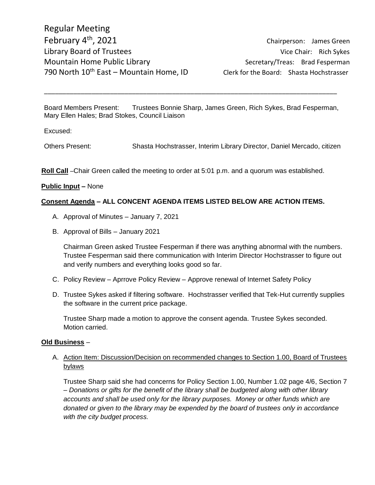Board Members Present: Trustees Bonnie Sharp, James Green, Rich Sykes, Brad Fesperman, Mary Ellen Hales; Brad Stokes, Council Liaison

\_\_\_\_\_\_\_\_\_\_\_\_\_\_\_\_\_\_\_\_\_\_\_\_\_\_\_\_\_\_\_\_\_\_\_\_\_\_\_\_\_\_\_\_\_\_\_\_\_\_\_\_\_\_\_\_\_\_\_\_\_\_\_\_\_\_\_\_\_\_\_\_\_\_\_\_\_\_\_\_

Excused:

Others Present: Shasta Hochstrasser, Interim Library Director, Daniel Mercado, citizen

**Roll Call** –Chair Green called the meeting to order at 5:01 p.m. and a quorum was established.

#### **Public Input –** None

#### **Consent Agenda – ALL CONCENT AGENDA ITEMS LISTED BELOW ARE ACTION ITEMS.**

- A. Approval of Minutes January 7, 2021
- B. Approval of Bills January 2021

Chairman Green asked Trustee Fesperman if there was anything abnormal with the numbers. Trustee Fesperman said there communication with Interim Director Hochstrasser to figure out and verify numbers and everything looks good so far.

- C. Policy Review Aprrove Policy Review Approve renewal of Internet Safety Policy
- D. Trustee Sykes asked if filtering software. Hochstrasser verified that Tek-Hut currently supplies the software in the current price package.

Trustee Sharp made a motion to approve the consent agenda. Trustee Sykes seconded. Motion carried.

#### **Old Business** –

### A. Action Item: Discussion/Decision on recommended changes to Section 1.00, Board of Trustees bylaws

Trustee Sharp said she had concerns for Policy Section 1.00, Number 1.02 page 4/6, Section 7 – *Donations or gifts for the benefit of the library shall be budgeted along with other library accounts and shall be used only for the library purposes. Money or other funds which are donated or given to the library may be expended by the board of trustees only in accordance with the city budget process.*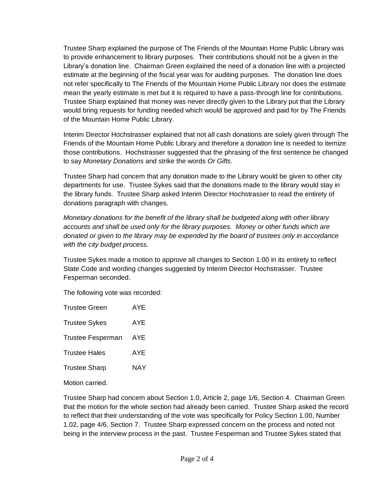Trustee Sharp explained the purpose of The Friends of the Mountain Home Public Library was to provide enhancement to library purposes. Their contributions should not be a given in the Library's donation line. Chairman Green explained the need of a donation line with a projected estimate at the beginning of the fiscal year was for auditing purposes. The donation line does not refer specifically to The Friends of the Mountain Home Public Library nor does the estimate mean the yearly estimate is met but it is required to have a pass-through line for contributions. Trustee Sharp explained that money was never directly given to the Library put that the Library would bring requests for funding needed which would be approved and paid for by The Friends of the Mountain Home Public Library.

Interim Director Hochstrasser explained that not all cash donations are solely given through The Friends of the Mountain Home Public Library and therefore a donation line is needed to itemize those contributions. Hochstrasser suggested that the phrasing of the first sentence be changed to say *Monetary Donations* and strike the words *Or Gifts*.

Trustee Sharp had concern that any donation made to the Library would be given to other city departments for use. Trustee Sykes said that the donations made to the library would stay in the library funds. Trustee Sharp asked Interim Director Hochstrasser to read the entirety of donations paragraph with changes.

*Monetary donations for the benefit of the library shall be budgeted along with other library accounts and shall be used only for the library purposes. Money or other funds which are donated or given to the library may be expended by the board of trustees only in accordance with the city budget process.*

Trustee Sykes made a motion to approve all changes to Section 1.00 in its entirety to reflect State Code and wording changes suggested by Interim Director Hochstrasser. Trustee Fesperman seconded.

The following vote was recorded:

| <b>Trustee Green</b>     | AYE        |
|--------------------------|------------|
| <b>Trustee Sykes</b>     | AYE        |
| <b>Trustee Fesperman</b> | AYE        |
| <b>Trustee Hales</b>     | AYE        |
| <b>Trustee Sharp</b>     | <b>NAY</b> |
|                          |            |

Motion carried.

Trustee Sharp had concern about Section 1.0, Article 2, page 1/6, Section 4. Chairman Green that the motion for the whole section had already been carried. Trustee Sharp asked the record to reflect that their understanding of the vote was specifically for Policy Section 1.00, Number 1.02, page 4/6, Section 7. Trustee Sharp expressed concern on the process and noted not being in the interview process in the past. Trustee Fesperman and Trustee Sykes stated that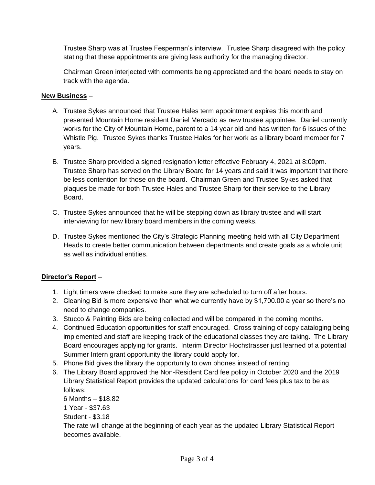Trustee Sharp was at Trustee Fesperman's interview. Trustee Sharp disagreed with the policy stating that these appointments are giving less authority for the managing director.

Chairman Green interjected with comments being appreciated and the board needs to stay on track with the agenda.

## **New Business** –

- A. Trustee Sykes announced that Trustee Hales term appointment expires this month and presented Mountain Home resident Daniel Mercado as new trustee appointee. Daniel currently works for the City of Mountain Home, parent to a 14 year old and has written for 6 issues of the Whistle Pig. Trustee Sykes thanks Trustee Hales for her work as a library board member for 7 years.
- B. Trustee Sharp provided a signed resignation letter effective February 4, 2021 at 8:00pm. Trustee Sharp has served on the Library Board for 14 years and said it was important that there be less contention for those on the board. Chairman Green and Trustee Sykes asked that plaques be made for both Trustee Hales and Trustee Sharp for their service to the Library Board.
- C. Trustee Sykes announced that he will be stepping down as library trustee and will start interviewing for new library board members in the coming weeks.
- D. Trustee Sykes mentioned the City's Strategic Planning meeting held with all City Department Heads to create better communication between departments and create goals as a whole unit as well as individual entities.

# **Director's Report** –

- 1. Light timers were checked to make sure they are scheduled to turn off after hours.
- 2. Cleaning Bid is more expensive than what we currently have by \$1,700.00 a year so there's no need to change companies.
- 3. Stucco & Painting Bids are being collected and will be compared in the coming months.
- 4. Continued Education opportunities for staff encouraged. Cross training of copy cataloging being implemented and staff are keeping track of the educational classes they are taking. The Library Board encourages applying for grants. Interim Director Hochstrasser just learned of a potential Summer Intern grant opportunity the library could apply for.
- 5. Phone Bid gives the library the opportunity to own phones instead of renting.
- 6. The Library Board approved the Non-Resident Card fee policy in October 2020 and the 2019 Library Statistical Report provides the updated calculations for card fees plus tax to be as follows:

6 Months – \$18.82

1 Year - \$37.63

Student - \$3.18

The rate will change at the beginning of each year as the updated Library Statistical Report becomes available.